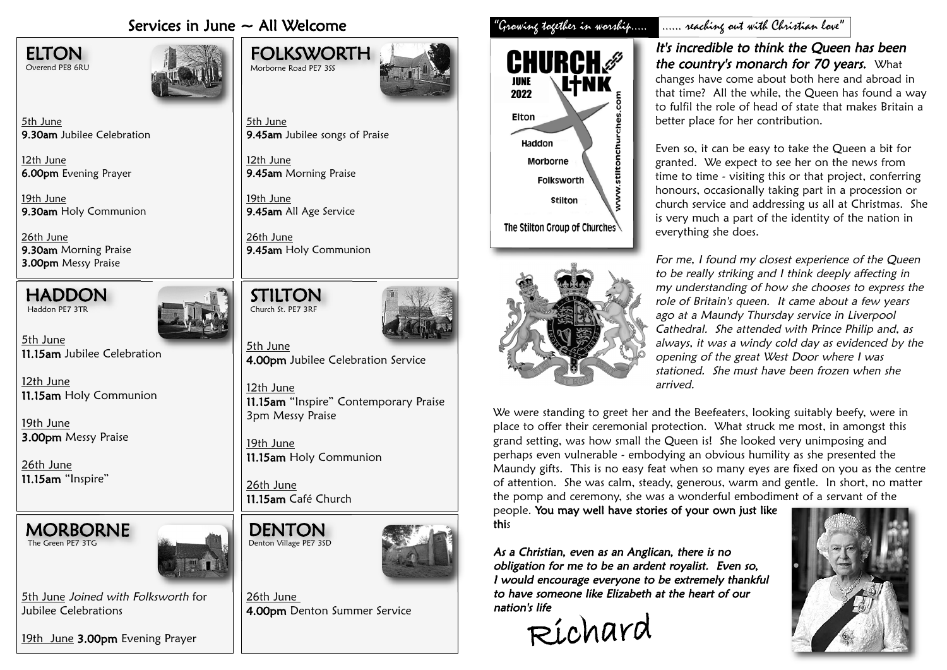## Services in June ~ All Welcome "Growing together in worship..... ...... reaching out with Christian love"



5th June **9.30am** Jubilee Celebration

12th June **6.00pm** Evening Prayer

19th June **9.30am** Holy Communion

26th June **9.30am** Morning Praise 3.00pm Messy Praise



Haddon PE7 3TR

5th June **11.15am** Jubilee Celebration

12th June **11.15am** Holy Communion

19th June **3.00pm** Messy Praise

26th June **11.15am** "Inspire"





5th June Joined with Folksworth for Jubilee Celebrations

<u>19th June</u> **3.00pm** Evening Prayer





5th June **9.45am** Jubilee songs of Praise

12th June 9.45am Morning Praise

19th June **9.45am** All Age Service

STILTON

Church St. PE7 3RF

26th June **9.45am** Holy Communion



5th June **4.00pm** Jubilee Celebration Service

12th June **11.15am** "Inspire" Contemporary Praise 3pm Messy Praise

19th June **11.15am** Holy Communion

26th June 11.15am Café Church

**DENTON** 

Denton Village PE7 3SD

26th June 4.00pm Denton Summer Service





# It's incredible to think the Queen has been

the country's monarch for 70 years. What changes have come about both here and abroad in that time? All the while, the Queen has found a way to fulfil the role of head of state that makes Britain a better place for her contribution.

Even so, it can be easy to take the Queen a bit for granted. We expect to see her on the news from time to time - visiting this or that project, conferring honours, occasionally taking part in a procession or church service and addressing us all at Christmas. She is very much a part of the identity of the nation in everything she does.

For me, I found my closest experience of the Queen to be really striking and I think deeply affecting in my understanding of how she chooses to express the role of Britain's queen. It came about a few years ago at a Maundy Thursday service in Liverpool Cathedral. She attended with Prince Philip and, as always, it was a windy cold day as evidenced by the opening of the great West Door where I was stationed. She must have been frozen when she arrived.

We were standing to greet her and the Beefeaters, looking suitably beefy, were in place to offer their ceremonial protection. What struck me most, in amongst this grand setting, was how small the Queen is! She looked very unimposing and perhaps even vulnerable - embodying an obvious humility as she presented the Maundy gifts. This is no easy feat when so many eyes are fixed on you as the centre of attention. She was calm, steady, generous, warm and gentle. In short, no matter the pomp and ceremony, she was a wonderful embodiment of a servant of the

people. You may well have stories of your o wn just li ke this

As a Christian, even as an Anglican, there is no obligation for me to be an ardent royalist. Even so, I would encourage everyone to be extremely thankful to have someone like Elizabeth at the heart of our nation's life